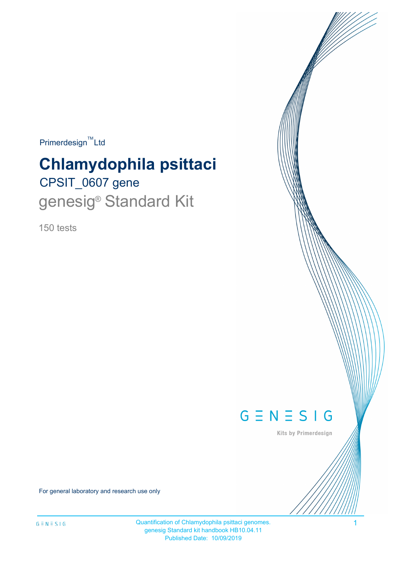$Primerdesign^{\text{TM}}$ Ltd

# CPSIT\_0607 gene **Chlamydophila psittaci** genesig<sup>®</sup> Standard Kit

150 tests



Kits by Primerdesign

For general laboratory and research use only

Quantification of Chlamydophila psittaci genomes. 1 genesig Standard kit handbook HB10.04.11 Published Date: 10/09/2019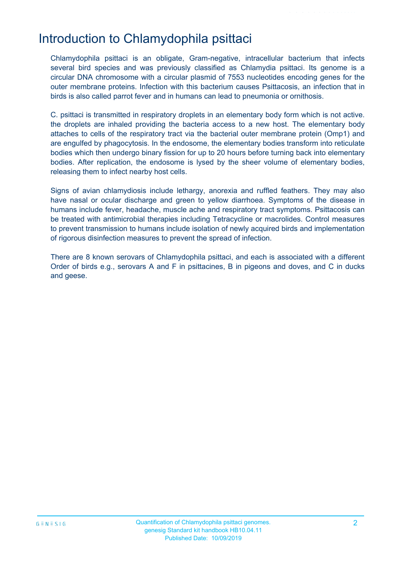### Introduction to Chlamydophila psittaci

Chlamydophila psittaci is an obligate, Gram-negative, intracellular bacterium that infects several bird species and was previously classified as Chlamydia psittaci. Its genome is a circular DNA chromosome with a circular plasmid of 7553 nucleotides encoding genes for the outer membrane proteins. Infection with this bacterium causes Psittacosis, an infection that in birds is also called parrot fever and in humans can lead to pneumonia or ornithosis.

C. psittaci is transmitted in respiratory droplets in an elementary body form which is not active. the droplets are inhaled providing the bacteria access to a new host. The elementary body attaches to cells of the respiratory tract via the bacterial outer membrane protein (Omp1) and are engulfed by phagocytosis. In the endosome, the elementary bodies transform into reticulate bodies which then undergo binary fission for up to 20 hours before turning back into elementary bodies. After replication, the endosome is lysed by the sheer volume of elementary bodies, releasing them to infect nearby host cells.

Signs of avian chlamydiosis include lethargy, anorexia and ruffled feathers. They may also have nasal or ocular discharge and green to yellow diarrhoea. Symptoms of the disease in humans include fever, headache, muscle ache and respiratory tract symptoms. Psittacosis can be treated with antimicrobial therapies including Tetracycline or macrolides. Control measures to prevent transmission to humans include isolation of newly acquired birds and implementation of rigorous disinfection measures to prevent the spread of infection.

There are 8 known serovars of Chlamydophila psittaci, and each is associated with a different Order of birds e.g., serovars A and F in psittacines, B in pigeons and doves, and C in ducks and geese.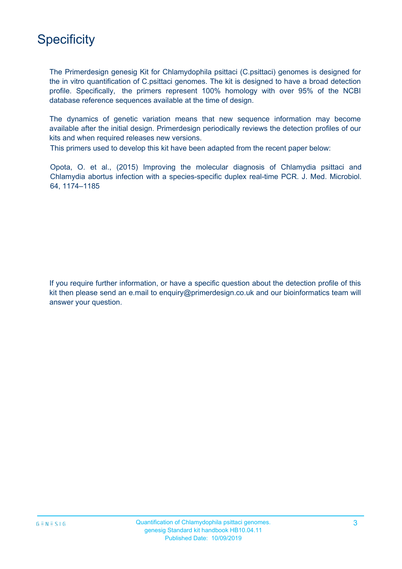## **Specificity**

The Primerdesign genesig Kit for Chlamydophila psittaci (C.psittaci) genomes is designed for the in vitro quantification of C.psittaci genomes. The kit is designed to have a broad detection profile. Specifically, the primers represent 100% homology with over 95% of the NCBI database reference sequences available at the time of design.

The dynamics of genetic variation means that new sequence information may become available after the initial design. Primerdesign periodically reviews the detection profiles of our kits and when required releases new versions.

This primers used to develop this kit have been adapted from the recent paper below:

Opota, O. et al., (2015) Improving the molecular diagnosis of Chlamydia psittaci and Chlamydia abortus infection with a species-specific duplex real-time PCR. J. Med. Microbiol. 64, 1174–1185

If you require further information, or have a specific question about the detection profile of this kit then please send an e.mail to enquiry@primerdesign.co.uk and our bioinformatics team will answer your question.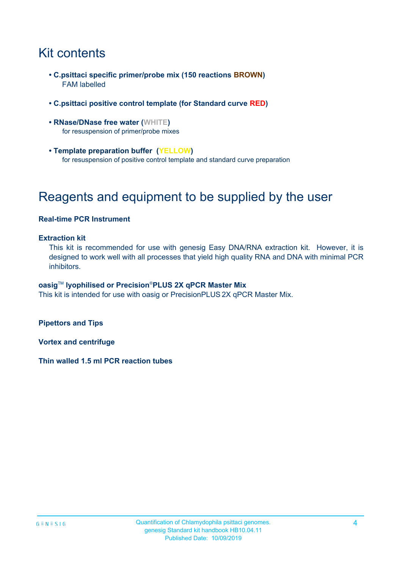# Kit contents

- **C.psittaci specific primer/probe mix (150 reactions BROWN)** FAM labelled
- **C.psittaci positive control template (for Standard curve RED)**
- **RNase/DNase free water (WHITE)** for resuspension of primer/probe mixes
- **Template preparation buffer (YELLOW)** for resuspension of positive control template and standard curve preparation

## Reagents and equipment to be supplied by the user

#### **Real-time PCR Instrument**

#### **Extraction kit**

This kit is recommended for use with genesig Easy DNA/RNA extraction kit. However, it is designed to work well with all processes that yield high quality RNA and DNA with minimal PCR inhibitors.

#### **oasig**TM **lyophilised or Precision**®**PLUS 2X qPCR Master Mix**

This kit is intended for use with oasig or PrecisionPLUS 2X qPCR Master Mix.

**Pipettors and Tips**

**Vortex and centrifuge**

**Thin walled 1.5 ml PCR reaction tubes**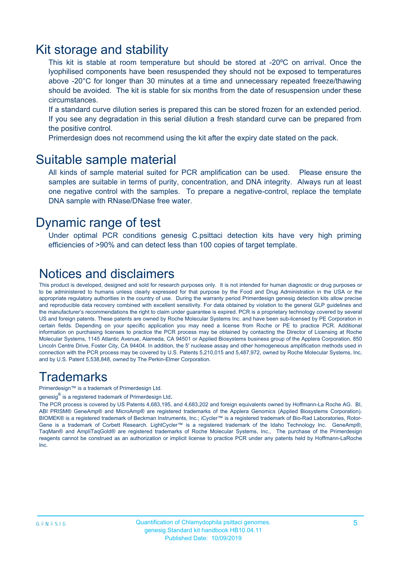### Kit storage and stability

This kit is stable at room temperature but should be stored at -20ºC on arrival. Once the lyophilised components have been resuspended they should not be exposed to temperatures above -20°C for longer than 30 minutes at a time and unnecessary repeated freeze/thawing should be avoided. The kit is stable for six months from the date of resuspension under these circumstances.

If a standard curve dilution series is prepared this can be stored frozen for an extended period. If you see any degradation in this serial dilution a fresh standard curve can be prepared from the positive control.

Primerdesign does not recommend using the kit after the expiry date stated on the pack.

### Suitable sample material

All kinds of sample material suited for PCR amplification can be used. Please ensure the samples are suitable in terms of purity, concentration, and DNA integrity. Always run at least one negative control with the samples. To prepare a negative-control, replace the template DNA sample with RNase/DNase free water.

### Dynamic range of test

Under optimal PCR conditions genesig C.psittaci detection kits have very high priming efficiencies of >90% and can detect less than 100 copies of target template.

### Notices and disclaimers

This product is developed, designed and sold for research purposes only. It is not intended for human diagnostic or drug purposes or to be administered to humans unless clearly expressed for that purpose by the Food and Drug Administration in the USA or the appropriate regulatory authorities in the country of use. During the warranty period Primerdesign genesig detection kits allow precise and reproducible data recovery combined with excellent sensitivity. For data obtained by violation to the general GLP guidelines and the manufacturer's recommendations the right to claim under guarantee is expired. PCR is a proprietary technology covered by several US and foreign patents. These patents are owned by Roche Molecular Systems Inc. and have been sub-licensed by PE Corporation in certain fields. Depending on your specific application you may need a license from Roche or PE to practice PCR. Additional information on purchasing licenses to practice the PCR process may be obtained by contacting the Director of Licensing at Roche Molecular Systems, 1145 Atlantic Avenue, Alameda, CA 94501 or Applied Biosystems business group of the Applera Corporation, 850 Lincoln Centre Drive, Foster City, CA 94404. In addition, the 5' nuclease assay and other homogeneous amplification methods used in connection with the PCR process may be covered by U.S. Patents 5,210,015 and 5,487,972, owned by Roche Molecular Systems, Inc, and by U.S. Patent 5,538,848, owned by The Perkin-Elmer Corporation.

### **Trademarks**

Primerdesign™ is a trademark of Primerdesign Ltd.

genesig $^\circledR$  is a registered trademark of Primerdesign Ltd.

The PCR process is covered by US Patents 4,683,195, and 4,683,202 and foreign equivalents owned by Hoffmann-La Roche AG. BI, ABI PRISM® GeneAmp® and MicroAmp® are registered trademarks of the Applera Genomics (Applied Biosystems Corporation). BIOMEK® is a registered trademark of Beckman Instruments, Inc.; iCycler™ is a registered trademark of Bio-Rad Laboratories, Rotor-Gene is a trademark of Corbett Research. LightCycler™ is a registered trademark of the Idaho Technology Inc. GeneAmp®, TaqMan® and AmpliTaqGold® are registered trademarks of Roche Molecular Systems, Inc., The purchase of the Primerdesign reagents cannot be construed as an authorization or implicit license to practice PCR under any patents held by Hoffmann-LaRoche Inc.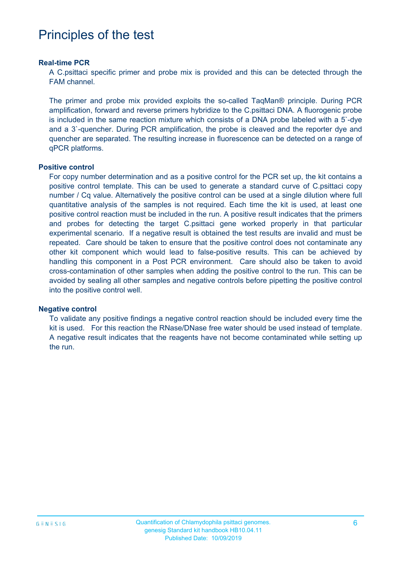### Principles of the test

#### **Real-time PCR**

A C.psittaci specific primer and probe mix is provided and this can be detected through the FAM channel.

The primer and probe mix provided exploits the so-called TaqMan® principle. During PCR amplification, forward and reverse primers hybridize to the C.psittaci DNA. A fluorogenic probe is included in the same reaction mixture which consists of a DNA probe labeled with a 5`-dye and a 3`-quencher. During PCR amplification, the probe is cleaved and the reporter dye and quencher are separated. The resulting increase in fluorescence can be detected on a range of qPCR platforms.

#### **Positive control**

For copy number determination and as a positive control for the PCR set up, the kit contains a positive control template. This can be used to generate a standard curve of C.psittaci copy number / Cq value. Alternatively the positive control can be used at a single dilution where full quantitative analysis of the samples is not required. Each time the kit is used, at least one positive control reaction must be included in the run. A positive result indicates that the primers and probes for detecting the target C.psittaci gene worked properly in that particular experimental scenario. If a negative result is obtained the test results are invalid and must be repeated. Care should be taken to ensure that the positive control does not contaminate any other kit component which would lead to false-positive results. This can be achieved by handling this component in a Post PCR environment. Care should also be taken to avoid cross-contamination of other samples when adding the positive control to the run. This can be avoided by sealing all other samples and negative controls before pipetting the positive control into the positive control well.

#### **Negative control**

To validate any positive findings a negative control reaction should be included every time the kit is used. For this reaction the RNase/DNase free water should be used instead of template. A negative result indicates that the reagents have not become contaminated while setting up the run.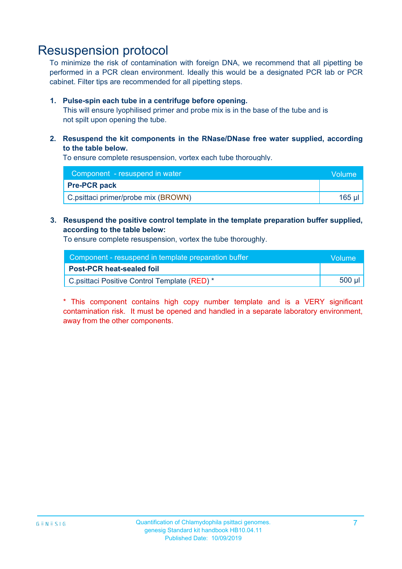### Resuspension protocol

To minimize the risk of contamination with foreign DNA, we recommend that all pipetting be performed in a PCR clean environment. Ideally this would be a designated PCR lab or PCR cabinet. Filter tips are recommended for all pipetting steps.

#### **1. Pulse-spin each tube in a centrifuge before opening.**

This will ensure lyophilised primer and probe mix is in the base of the tube and is not spilt upon opening the tube.

#### **2. Resuspend the kit components in the RNase/DNase free water supplied, according to the table below.**

To ensure complete resuspension, vortex each tube thoroughly.

| Component - resuspend in water      | <b>Nolume</b> |
|-------------------------------------|---------------|
| <b>Pre-PCR pack</b>                 |               |
| C.psittaci primer/probe mix (BROWN) | 165 ul        |

#### **3. Resuspend the positive control template in the template preparation buffer supplied, according to the table below:**

To ensure complete resuspension, vortex the tube thoroughly.

| Component - resuspend in template preparation buffer |        |  |
|------------------------------------------------------|--------|--|
| <b>Post-PCR heat-sealed foil</b>                     |        |  |
| C.psittaci Positive Control Template (RED) *         | 500 µl |  |

\* This component contains high copy number template and is a VERY significant contamination risk. It must be opened and handled in a separate laboratory environment, away from the other components.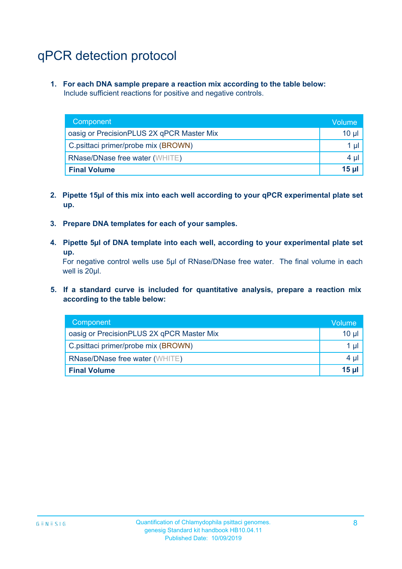# qPCR detection protocol

**1. For each DNA sample prepare a reaction mix according to the table below:** Include sufficient reactions for positive and negative controls.

| Component                                 | Volume          |
|-------------------------------------------|-----------------|
| oasig or PrecisionPLUS 2X qPCR Master Mix | 10 $\mu$        |
| C.psittaci primer/probe mix (BROWN)       | 1 µl            |
| <b>RNase/DNase free water (WHITE)</b>     | $4 \mu$         |
| <b>Final Volume</b>                       | 15 <sub>µ</sub> |

- **2. Pipette 15µl of this mix into each well according to your qPCR experimental plate set up.**
- **3. Prepare DNA templates for each of your samples.**
- **4. Pipette 5µl of DNA template into each well, according to your experimental plate set up.**

For negative control wells use 5µl of RNase/DNase free water. The final volume in each well is 20µl.

**5. If a standard curve is included for quantitative analysis, prepare a reaction mix according to the table below:**

| Component                                 | Volume          |
|-------------------------------------------|-----------------|
| oasig or PrecisionPLUS 2X qPCR Master Mix | 10 µl           |
| C.psittaci primer/probe mix (BROWN)       | 1 µl            |
| <b>RNase/DNase free water (WHITE)</b>     | $4 \mu$         |
| <b>Final Volume</b>                       | 15 <sub>µ</sub> |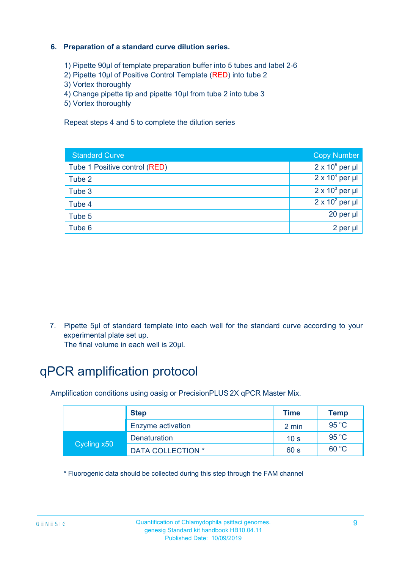#### **6. Preparation of a standard curve dilution series.**

- 1) Pipette 90µl of template preparation buffer into 5 tubes and label 2-6
- 2) Pipette 10µl of Positive Control Template (RED) into tube 2
- 3) Vortex thoroughly
- 4) Change pipette tip and pipette 10µl from tube 2 into tube 3
- 5) Vortex thoroughly

Repeat steps 4 and 5 to complete the dilution series

| <b>Standard Curve</b>         | <b>Copy Number</b>     |
|-------------------------------|------------------------|
| Tube 1 Positive control (RED) | $2 \times 10^5$ per µl |
| Tube 2                        | $2 \times 10^4$ per µl |
| Tube 3                        | $2 \times 10^3$ per µl |
| Tube 4                        | $2 \times 10^2$ per µl |
| Tube 5                        | 20 per µl              |
| Tube 6                        | 2 per µl               |

7. Pipette 5µl of standard template into each well for the standard curve according to your experimental plate set up.

The final volume in each well is 20µl.

# qPCR amplification protocol

Amplification conditions using oasig or PrecisionPLUS 2X qPCR Master Mix.

|             | <b>Step</b>              | <b>Time</b>     | <b>Temp</b>    |
|-------------|--------------------------|-----------------|----------------|
|             | Enzyme activation        | 2 min           | $95^{\circ}$ C |
| Cycling x50 | <b>Denaturation</b>      | 10 <sub>s</sub> | 95 $\degree$ C |
|             | <b>DATA COLLECTION *</b> | 60 s            | 60 °C          |

\* Fluorogenic data should be collected during this step through the FAM channel